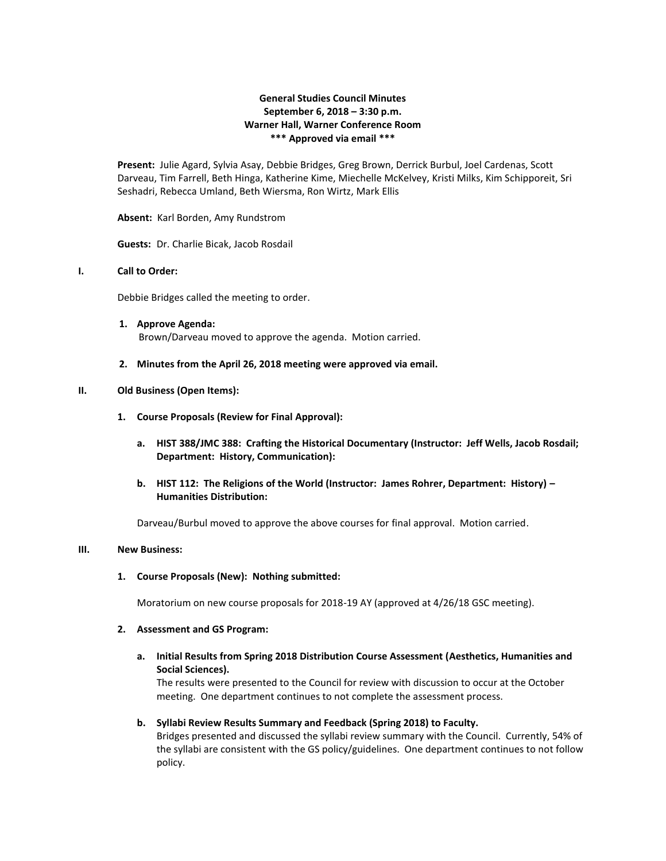# **General Studies Council Minutes September 6, 2018 – 3:30 p.m. Warner Hall, Warner Conference Room \*\*\* Approved via email \*\*\***

**Present:** Julie Agard, Sylvia Asay, Debbie Bridges, Greg Brown, Derrick Burbul, Joel Cardenas, Scott Darveau, Tim Farrell, Beth Hinga, Katherine Kime, Miechelle McKelvey, Kristi Milks, Kim Schipporeit, Sri Seshadri, Rebecca Umland, Beth Wiersma, Ron Wirtz, Mark Ellis

### **Absent:** Karl Borden, Amy Rundstrom

**Guests:** Dr. Charlie Bicak, Jacob Rosdail

## **I. Call to Order:**

Debbie Bridges called the meeting to order.

- **1. Approve Agenda:** Brown/Darveau moved to approve the agenda. Motion carried.
- **2. Minutes from the April 26, 2018 meeting were approved via email.**

### **II. Old Business (Open Items):**

- **1. Course Proposals (Review for Final Approval):**
	- **a. HIST 388/JMC 388: Crafting the Historical Documentary (Instructor: Jeff Wells, Jacob Rosdail; Department: History, Communication):**
	- **b. HIST 112: The Religions of the World (Instructor: James Rohrer, Department: History) – Humanities Distribution:**

Darveau/Burbul moved to approve the above courses for final approval. Motion carried.

## **III. New Business:**

**1. Course Proposals (New): Nothing submitted:**

Moratorium on new course proposals for 2018-19 AY (approved at 4/26/18 GSC meeting).

#### **2. Assessment and GS Program:**

# **a. Initial Results from Spring 2018 Distribution Course Assessment (Aesthetics, Humanities and Social Sciences).**

The results were presented to the Council for review with discussion to occur at the October meeting. One department continues to not complete the assessment process.

### **b. Syllabi Review Results Summary and Feedback (Spring 2018) to Faculty.**

Bridges presented and discussed the syllabi review summary with the Council. Currently, 54% of the syllabi are consistent with the GS policy/guidelines. One department continues to not follow policy.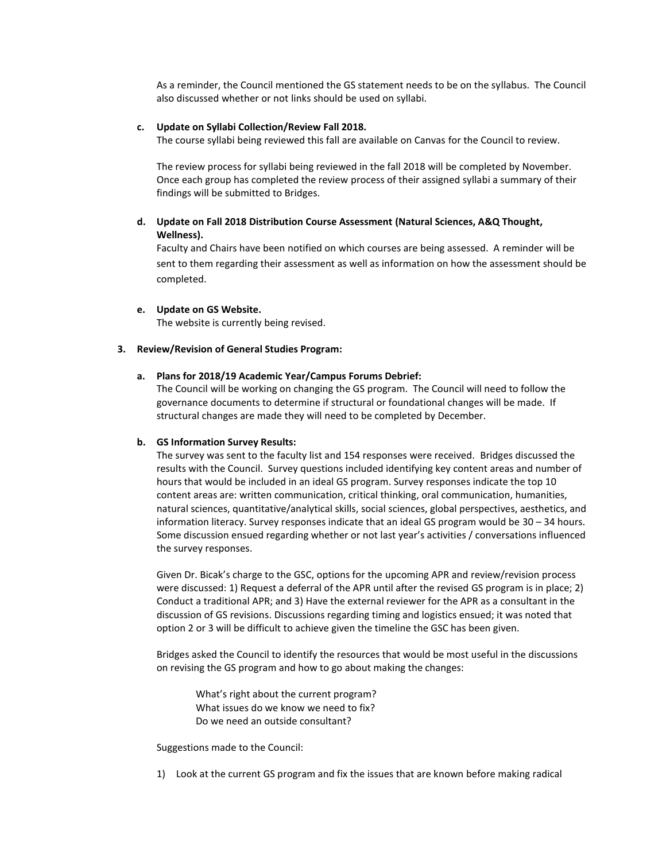As a reminder, the Council mentioned the GS statement needs to be on the syllabus. The Council also discussed whether or not links should be used on syllabi.

### **c. Update on Syllabi Collection/Review Fall 2018.**

The course syllabi being reviewed this fall are available on Canvas for the Council to review.

The review process for syllabi being reviewed in the fall 2018 will be completed by November. Once each group has completed the review process of their assigned syllabi a summary of their findings will be submitted to Bridges.

# **d. Update on Fall 2018 Distribution Course Assessment (Natural Sciences, A&Q Thought, Wellness).**

Faculty and Chairs have been notified on which courses are being assessed. A reminder will be sent to them regarding their assessment as well as information on how the assessment should be completed.

### **e. Update on GS Website.**

The website is currently being revised.

### **3. Review/Revision of General Studies Program:**

## **a. Plans for 2018/19 Academic Year/Campus Forums Debrief:**

The Council will be working on changing the GS program. The Council will need to follow the governance documents to determine if structural or foundational changes will be made. If structural changes are made they will need to be completed by December.

### **b. GS Information Survey Results:**

The survey was sent to the faculty list and 154 responses were received. Bridges discussed the results with the Council. Survey questions included identifying key content areas and number of hours that would be included in an ideal GS program. Survey responses indicate the top 10 content areas are: written communication, critical thinking, oral communication, humanities, natural sciences, quantitative/analytical skills, social sciences, global perspectives, aesthetics, and information literacy. Survey responses indicate that an ideal GS program would be 30 – 34 hours. Some discussion ensued regarding whether or not last year's activities / conversations influenced the survey responses.

Given Dr. Bicak's charge to the GSC, options for the upcoming APR and review/revision process were discussed: 1) Request a deferral of the APR until after the revised GS program is in place; 2) Conduct a traditional APR; and 3) Have the external reviewer for the APR as a consultant in the discussion of GS revisions. Discussions regarding timing and logistics ensued; it was noted that option 2 or 3 will be difficult to achieve given the timeline the GSC has been given.

Bridges asked the Council to identify the resources that would be most useful in the discussions on revising the GS program and how to go about making the changes:

What's right about the current program? What issues do we know we need to fix? Do we need an outside consultant?

Suggestions made to the Council:

1) Look at the current GS program and fix the issues that are known before making radical